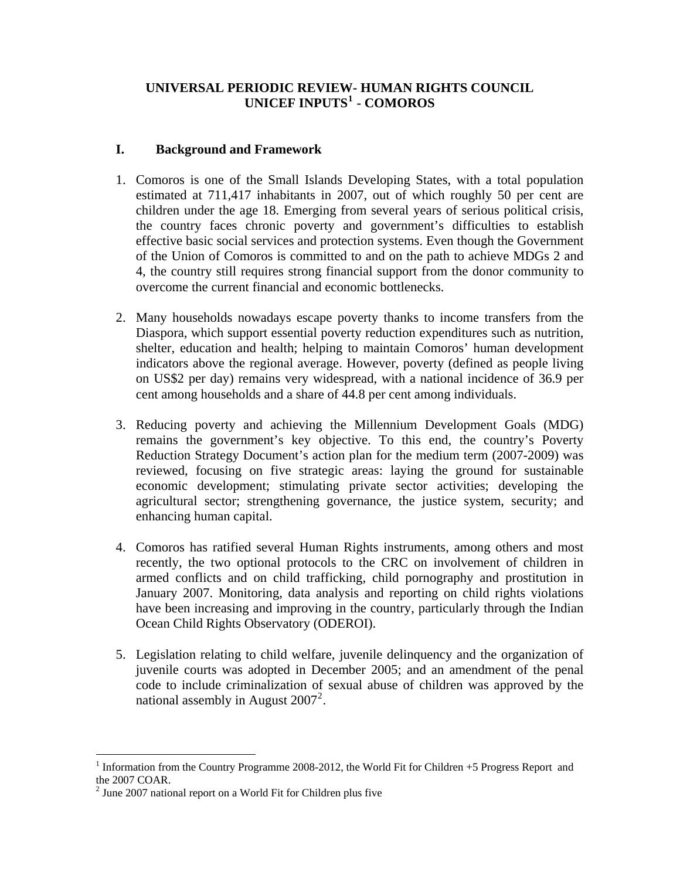# **UNIVERSAL PERIODIC REVIEW- HUMAN RIGHTS COUNCIL UNICEF INPUTS[1](#page-0-0) - COMOROS**

### **I. Background and Framework**

- 1. Comoros is one of the Small Islands Developing States, with a total population estimated at 711,417 inhabitants in 2007, out of which roughly 50 per cent are children under the age 18. Emerging from several years of serious political crisis, the country faces chronic poverty and government's difficulties to establish effective basic social services and protection systems. Even though the Government of the Union of Comoros is committed to and on the path to achieve MDGs 2 and 4, the country still requires strong financial support from the donor community to overcome the current financial and economic bottlenecks.
- 2. Many households nowadays escape poverty thanks to income transfers from the Diaspora, which support essential poverty reduction expenditures such as nutrition, shelter, education and health; helping to maintain Comoros' human development indicators above the regional average. However, poverty (defined as people living on US\$2 per day) remains very widespread, with a national incidence of 36.9 per cent among households and a share of 44.8 per cent among individuals.
- 3. Reducing poverty and achieving the Millennium Development Goals (MDG) remains the government's key objective. To this end, the country's Poverty Reduction Strategy Document's action plan for the medium term (2007-2009) was reviewed, focusing on five strategic areas: laying the ground for sustainable economic development; stimulating private sector activities; developing the agricultural sector; strengthening governance, the justice system, security; and enhancing human capital.
- 4. Comoros has ratified several Human Rights instruments, among others and most recently, the two optional protocols to the CRC on involvement of children in armed conflicts and on child trafficking, child pornography and prostitution in January 2007. Monitoring, data analysis and reporting on child rights violations have been increasing and improving in the country, particularly through the Indian Ocean Child Rights Observatory (ODEROI).
- 5. Legislation relating to child welfare, juvenile delinquency and the organization of juvenile courts was adopted in December 2005; and an amendment of the penal code to include criminalization of sexual abuse of children was approved by the national assembly in August  $2007^2$  $2007^2$ .

<span id="page-0-0"></span> $\overline{a}$ <sup>1</sup> Information from the Country Programme 2008-2012, the World Fit for Children  $+5$  Progress Report and the 2007 COAR.

<span id="page-0-1"></span> $2$  June 2007 national report on a World Fit for Children plus five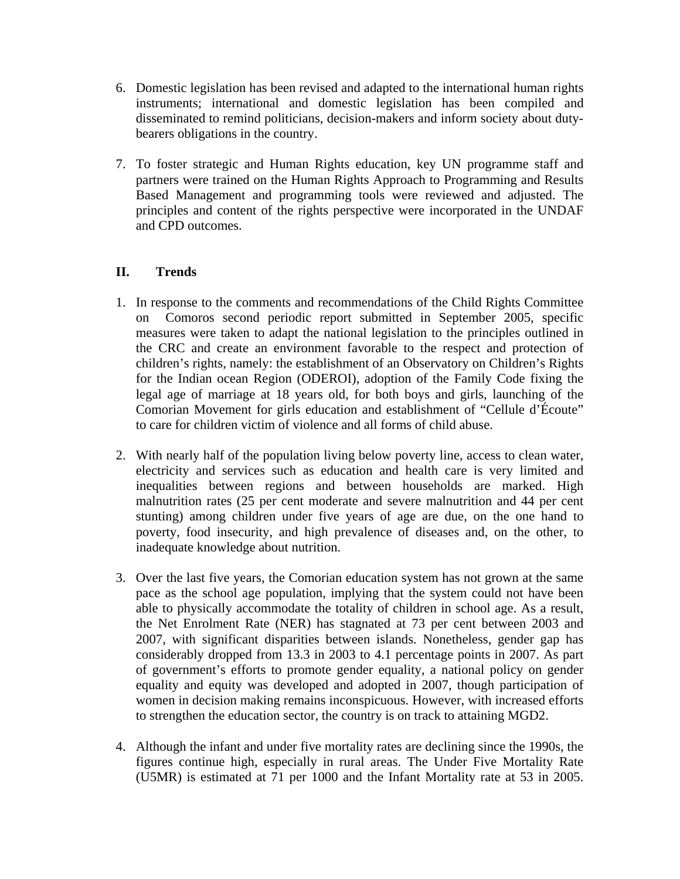- 6. Domestic legislation has been revised and adapted to the international human rights instruments; international and domestic legislation has been compiled and disseminated to remind politicians, decision-makers and inform society about dutybearers obligations in the country.
- 7. To foster strategic and Human Rights education, key UN programme staff and partners were trained on the Human Rights Approach to Programming and Results Based Management and programming tools were reviewed and adjusted. The principles and content of the rights perspective were incorporated in the UNDAF and CPD outcomes.

# **II. Trends**

- 1. In response to the comments and recommendations of the Child Rights Committee on Comoros second periodic report submitted in September 2005, specific measures were taken to adapt the national legislation to the principles outlined in the CRC and create an environment favorable to the respect and protection of children's rights, namely: the establishment of an Observatory on Children's Rights for the Indian ocean Region (ODEROI), adoption of the Family Code fixing the legal age of marriage at 18 years old, for both boys and girls, launching of the Comorian Movement for girls education and establishment of "Cellule d'Écoute" to care for children victim of violence and all forms of child abuse.
- 2. With nearly half of the population living below poverty line, access to clean water, electricity and services such as education and health care is very limited and inequalities between regions and between households are marked. High malnutrition rates (25 per cent moderate and severe malnutrition and 44 per cent stunting) among children under five years of age are due, on the one hand to poverty, food insecurity, and high prevalence of diseases and, on the other, to inadequate knowledge about nutrition.
- 3. Over the last five years, the Comorian education system has not grown at the same pace as the school age population, implying that the system could not have been able to physically accommodate the totality of children in school age. As a result, the Net Enrolment Rate (NER) has stagnated at 73 per cent between 2003 and 2007, with significant disparities between islands. Nonetheless, gender gap has considerably dropped from 13.3 in 2003 to 4.1 percentage points in 2007. As part of government's efforts to promote gender equality, a national policy on gender equality and equity was developed and adopted in 2007, though participation of women in decision making remains inconspicuous. However, with increased efforts to strengthen the education sector, the country is on track to attaining MGD2.
- 4. Although the infant and under five mortality rates are declining since the 1990s, the figures continue high, especially in rural areas. The Under Five Mortality Rate (U5MR) is estimated at 71 per 1000 and the Infant Mortality rate at 53 in 2005.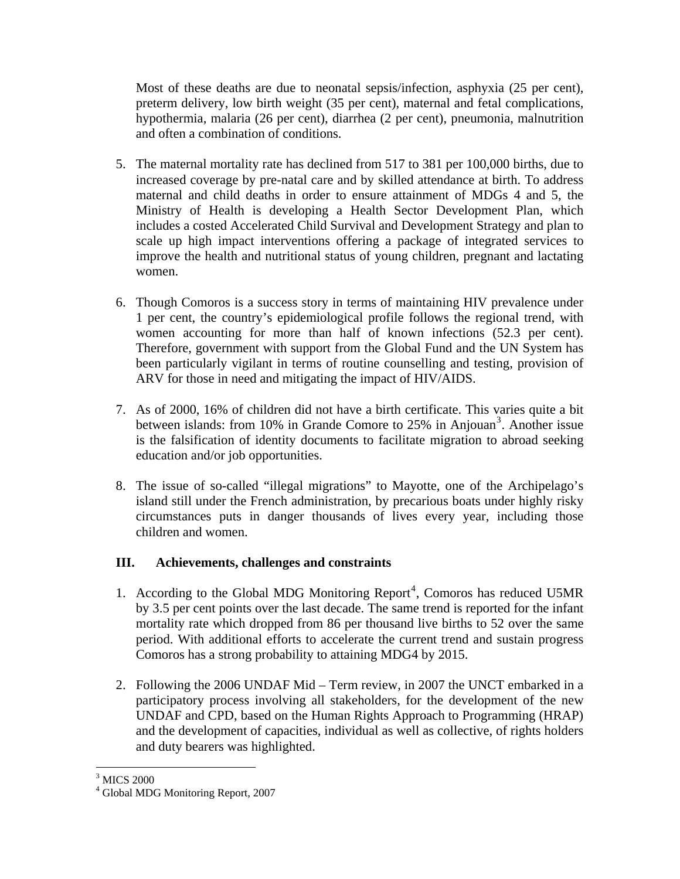Most of these deaths are due to neonatal sepsis/infection, asphyxia (25 per cent), preterm delivery, low birth weight (35 per cent), maternal and fetal complications, hypothermia, malaria (26 per cent), diarrhea (2 per cent), pneumonia, malnutrition and often a combination of conditions.

- 5. The maternal mortality rate has declined from 517 to 381 per 100,000 births, due to increased coverage by pre-natal care and by skilled attendance at birth. To address maternal and child deaths in order to ensure attainment of MDGs 4 and 5, the Ministry of Health is developing a Health Sector Development Plan, which includes a costed Accelerated Child Survival and Development Strategy and plan to scale up high impact interventions offering a package of integrated services to improve the health and nutritional status of young children, pregnant and lactating women.
- 6. Though Comoros is a success story in terms of maintaining HIV prevalence under 1 per cent, the country's epidemiological profile follows the regional trend, with women accounting for more than half of known infections (52.3 per cent). Therefore, government with support from the Global Fund and the UN System has been particularly vigilant in terms of routine counselling and testing, provision of ARV for those in need and mitigating the impact of HIV/AIDS.
- 7. As of 2000, 16% of children did not have a birth certificate. This varies quite a bit between islands: from 10% in Grande Comore to  $25%$  in Anjouan<sup>[3](#page-2-0)</sup>. Another issue is the falsification of identity documents to facilitate migration to abroad seeking education and/or job opportunities.
- 8. The issue of so-called "illegal migrations" to Mayotte, one of the Archipelago's island still under the French administration, by precarious boats under highly risky circumstances puts in danger thousands of lives every year, including those children and women.

# **III. Achievements, challenges and constraints**

- 1. According to the Global MDG Monitoring Report<sup>[4](#page-2-1)</sup>, Comoros has reduced U5MR by 3.5 per cent points over the last decade. The same trend is reported for the infant mortality rate which dropped from 86 per thousand live births to 52 over the same period. With additional efforts to accelerate the current trend and sustain progress Comoros has a strong probability to attaining MDG4 by 2015.
- 2. Following the 2006 UNDAF Mid Term review, in 2007 the UNCT embarked in a participatory process involving all stakeholders, for the development of the new UNDAF and CPD, based on the Human Rights Approach to Programming (HRAP) and the development of capacities, individual as well as collective, of rights holders and duty bearers was highlighted.

 $\overline{a}$ 3 MICS 2000

<span id="page-2-1"></span><span id="page-2-0"></span><sup>4</sup> Global MDG Monitoring Report, 2007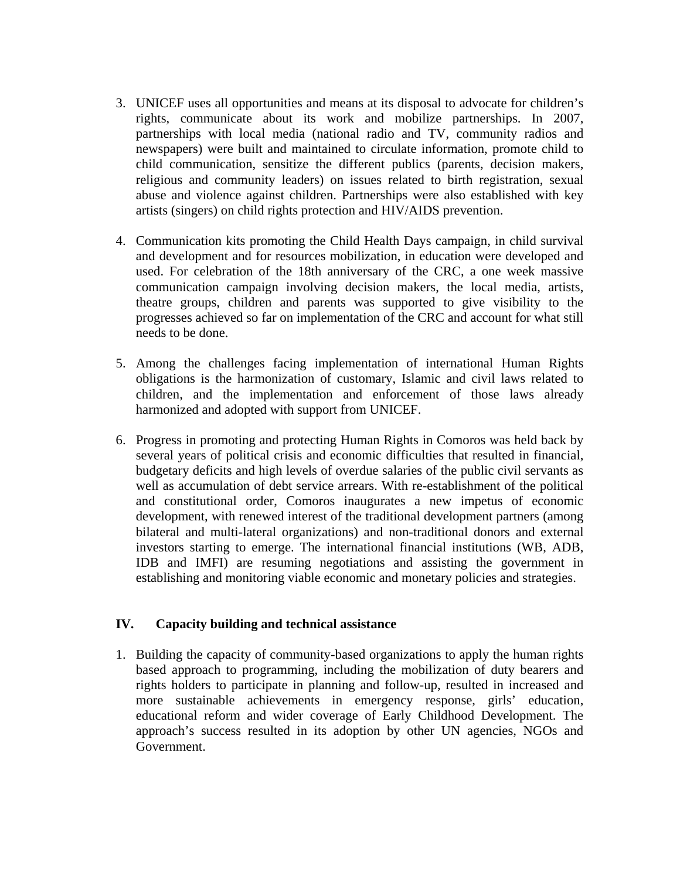- 3. UNICEF uses all opportunities and means at its disposal to advocate for children's rights, communicate about its work and mobilize partnerships. In 2007, partnerships with local media (national radio and TV, community radios and newspapers) were built and maintained to circulate information, promote child to child communication, sensitize the different publics (parents, decision makers, religious and community leaders) on issues related to birth registration, sexual abuse and violence against children. Partnerships were also established with key artists (singers) on child rights protection and HIV/AIDS prevention.
- 4. Communication kits promoting the Child Health Days campaign, in child survival and development and for resources mobilization, in education were developed and used. For celebration of the 18th anniversary of the CRC, a one week massive communication campaign involving decision makers, the local media, artists, theatre groups, children and parents was supported to give visibility to the progresses achieved so far on implementation of the CRC and account for what still needs to be done.
- 5. Among the challenges facing implementation of international Human Rights obligations is the harmonization of customary, Islamic and civil laws related to children, and the implementation and enforcement of those laws already harmonized and adopted with support from UNICEF.
- 6. Progress in promoting and protecting Human Rights in Comoros was held back by several years of political crisis and economic difficulties that resulted in financial, budgetary deficits and high levels of overdue salaries of the public civil servants as well as accumulation of debt service arrears. With re-establishment of the political and constitutional order, Comoros inaugurates a new impetus of economic development, with renewed interest of the traditional development partners (among bilateral and multi-lateral organizations) and non-traditional donors and external investors starting to emerge. The international financial institutions (WB, ADB, IDB and IMFI) are resuming negotiations and assisting the government in establishing and monitoring viable economic and monetary policies and strategies.

#### **IV. Capacity building and technical assistance**

1. Building the capacity of community-based organizations to apply the human rights based approach to programming, including the mobilization of duty bearers and rights holders to participate in planning and follow-up, resulted in increased and more sustainable achievements in emergency response, girls' education, educational reform and wider coverage of Early Childhood Development. The approach's success resulted in its adoption by other UN agencies, NGOs and Government.